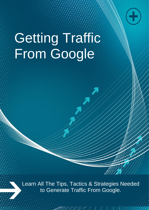

# Getting Traffic From Google

to Generate Traffic From Google. Learn All The Tips, Tactics & Strategies Needed

 $21/11$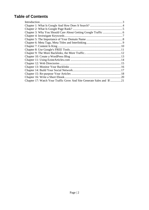# **Table of Contents**

| Introduction.                                                         |     |
|-----------------------------------------------------------------------|-----|
|                                                                       |     |
|                                                                       |     |
|                                                                       |     |
|                                                                       |     |
|                                                                       |     |
|                                                                       |     |
|                                                                       |     |
|                                                                       |     |
|                                                                       |     |
|                                                                       |     |
|                                                                       |     |
|                                                                       |     |
|                                                                       |     |
|                                                                       |     |
|                                                                       |     |
|                                                                       | .20 |
| Chapter 17: Watch Your Traffic Grow And Site Generate Sales and \$!21 |     |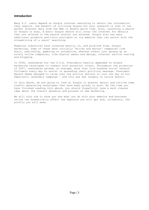# *Introduction*

Many P.C. users depend on Google internet searching to obtain the information they require. One benefit of utilizing Google for your research is that it can gather relevant data from the Web in double quick time. Also, launching a search on Google is easy. A basic Google search will scour the internet for details that are related to the search term(s) you entered. Google also has many additional products and tools available on its website that can assist with the streamlining of a users' searching.

Numerous industries have invested heavily in, and profited from, Google marketing. Some of these were initially 'bricks and mortar' companies like music, publishing, gambling or automotive, whereas others just sprang up as solely online companies, like digital media and design, internet service hosting and blogging.

In 2008, candidates for the U.S.A. Presidency heavily depended on Google marketing techniques to connect with potential voters. Throughout the primaries of 2007, candidates gained, on average, more than five hundred social network followers every day to assist in spreading their political message. President Barack Obama managed to raise over one million dollars in just one day of his Democratic candidacy campaign - and this was due largely to online donors.

In this ebook, we are going to look at Google in greater detail and outline some traffic generating techniques that have been proven to work. By the time you have finished reading this ebook, you should (hopefully) have a much clearer idea about the overall dynamics and process of web marketing.

We will also aim to show you how what you do with your website and business online can dramatically affect the exposure you will get and, ultimately, the profits you will make.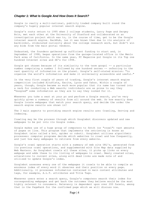# *Chapter 1: What Is Google And How Does It Search?*

Google is really a multi-national, publicly traded company built round the company's hugely popular internet search engine.

Google's roots return to 1995 when 2 college students, Larry Page and Sergey Brin, met each other at the University of Stanford and collaborated on an investigation project which was to, in the course of time, get to be the Google internet search engine. BackRub, (as it was known then due to its analysis of backlinks), stimulated curiosity about the college research work, but didn't win any bids from the main portal vendors.

Undaunted, the founders gathered up sufficient funding to start and, in September of 1998, began operations from the garage-located office in the Menlo Park area of California. In the same year, PC Magazine put Google in its Top one hundred Internet sites and SE's for 1998.

Google got chosen because of its similarity to the term googol -- a particular number comprising a number 1 followed by one hundred zeroes -- referring to the vast quantity of information on the planet. Google's self-stated mission: "to organize the world's information and make it universally accessible and useful."

In the very first couple of years of trading, Google's internet search engine competition included AltaVista, Excite, Lycos and Yahoo. Within a couple of years, though, Google became so much more popular that its name has turned into a verb for conducting a Web search; individuals are as prone to say they "Googled" some information as they are to say they looked for it.

Whenever you take a seat at your pc and perform a Google search, you're very quickly given a summary of results from all around the web. So how exactly does Google locate webpages that match your search query, and decide the order the search engine results are shown in?

The 3 main aspects to providing search engine results are: Crawling, Serving and Indexing.

Crawling may be the process through which Googlebot discovers updated and new webpages to be put into its Google index.

Google makes use of a huge group of computers to fetch (or "crawl") vast amounts of pages on line. This program that implements the retrieving is known as Googlebot (also called a bot, spider or robot). Googlebot utilizes algorithmic processes: computer programs decide which websites to crawl and how frequently, and just how many webpages to retrieve from every website.

Google's crawl operation starts with a summary of web site URL's, generated from its previous crawl operations, and supplemented with Site Map data supplied by Web Masters. As Googlebot crawls all these sites, it picks up links on every webpage and adds these to its listing of webpages to crawl. Newly created sites, alterations to current sites, along with dead links are made note of and utilized to update Google's index.

Googlebot assesses every one of the webpages it crawls to be able to compile an enormous index of every word it observes and their position on every page. Additionally, it processes information contained in main content attributes and tags, for example, A.L.T. attributes and Title Tags.

Whenever users enter a search query, Google's computers search their index for corresponding webpages and get back the outcomes they believe would be the most highly relevant to consumers. Relevancy is dependent upon over 200 facets, among that is the PageRank for the confirmed page which we will discuss now.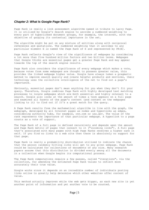#### *Chapter 2: What Is Google Page Rank?*

Page Rank is really a link assessment algorithm named in tribute to Larry Page. It is utilized by Google's Search engine to ascribe a numbered weighting to every part of hyperlinked document groups, for example, the internet, with the objective of gauging its contextual importance in the set.

The algorithm might be put on any mixture of entities along with reciprocal references and quotations. The numbered weighting that it ascribes to any particular element E is named the Page Rank of E and represented by PR(E).

Page Rank reflects Google's view of the significance of webpages by considering a lot more than five hundred million factors and two billion terms. Webpages that Google thinks are essential pages get a greater Page Rank and may appear towards the top of the search engine results.

Page Rank also considers the significance of every webpage which makes a vote, because votes from some webpages are thought to possess greater value, this provides the linked webpage higher value. Google have always taken a pragmatic method to improve search quality and create helpful products and services, their technology uses the collective intelligence of the net to find out a page's importance.

Obviously, essential pages don't mean anything for you when they don't fit your query. Therefore, Google combines Page Rank with highly developed text matching processes to locate webpages which are both essential and highly relevant to a search. Google also looks at the amount of times a term appears on a full page and examines all facets of the page's content (and content on the webpages linking to it) to find out if it's a great match for the query.

A Page Rank results from the mathematical algorithm in line with the graph, the webgraph, developed by all Internet pages as nodes and hyperlinks as edges, considering authority hubs, for example, cnn.com or usa.gov. The value of the rank represents the importance of that particular webpage. A hyperlink to a page counts as a vote of support.

The Page Rank of a full page is defined recursively and depends upon the amount and Page Rank metric of pages that connect to it ("incoming links"). A full page that's associated with many pages with high Page Ranks receives a higher rank it self. If you find no links to a web site then there is absolutely no support for that page.

Page Rank is really a probability distribution utilized to indicate the chance that the person randomly hitting links will get to any given webpage. Page Rank could be calculated for collections of documents of any size. Many research papers assume that this distribution is divided evenly among all the documents in a collection when Google begins its computational process.

The Page Rank computations require a few passes, called "iterations", via the collection, for amending the estimated Page Rank values to reflect more accurately their true value.

Google works since it depends on an incredible number of individuals posting links online to greatly help determine which other websites offer content of value.

This method actually improves while the web gets bigger, as each new site is yet another point of information and yet another vote to be counted.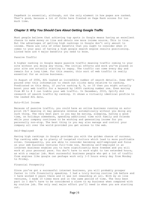PageRank is essential, although, not the only element in how pages are ranked. That's good, because a lot of folks have fixated on Page Rank scores for too much time.

#### *Chapter 3: Why You Should Care About Getting Google Traffic*

Most people believe that achieving top spots in Google means having an excellent chance to make money on line and obtain one more income source. This is true. But the advantages of getting high rankings in Google don't only amount to income. There are lots of other benefits that you ought to consider when it comes to your goal of having a high google search engine results positioning. Listed here are 4 major benefits you need to know.

#### Passive Traffic

A higher ranking in Google means passive traffic meaning traffic coming to your site without you doing any thing. The initial efforts and work you've placed in your site are actually starting to repay. The traffic can come every day and remain for a long time. For this reason, this sort of web traffic is really essential for an online business.

In August of 2006, AOL leaked an incredible number of search details. Some SEO's poured over this information to check out clicks data relative to ranking. Predicated on this data, if you're ranking 8, 9, or 10 then you might actually boost your web traffic for a keyword by 1400% ranking number one. Even moving from #8 to # 3 can treble your web traffic. In December, 2010, Optify did research of search traffic by ranking. It shows a virtually identical profile to the leaked AOL data.

#### Auto-Pilot Income

Because of passive traffic, you could have an online business running on autopilot 24/7 meaning it may generate revenue automatically without you doing any such thing. The very best part is you may be eating, sleeping, having a good time, on holidays somewhere, spending additional time with family and friends while your company continues to be working and generating income for you personally non-stop. The best thing is you may also manage and control your company all over the world provided you get access to the web.

#### Self-Employed

Having high rankings in Google provides you with the golden chance of success. Top ranking adds up to plenty of targeted visitors which lead to more profitable sites. Consequently, you are able to consider becoming self-employed and focus on your web business ventures full-time now. Becoming self-employed in an internet business enables you to have significantly more freedom and you will work at your personal pace. You don't have to work eight to ten extended hours, as with a regular job. Most successful business people who get a lot of traffic from engines like google can perhaps work only 1-3 hours every day from Monday to Friday.

#### Financial Prosperity

Since you've got a successful internet business, you will probably prosper faster in life financially speaking. I had a truly boring routine job before and I have worked 4 years there and it was not rewarding at all. With my on line ventures, I made 10 times more and in the same period of time. The very best part is I don't have to be considered a slave to my business when compared with my routine job. The only real major effort you'll need is when you are starting out.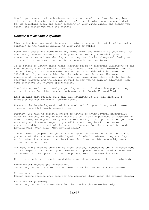Should you have an online business and are not benefiting from the very best internet search engine on the planet, you're really missing out a great deal. So, do something today and begin focusing on your sites since, the sooner you start, the faster you will see results.

# *Chapter 4: Investigate Keywords*

Picking the best key words is essential simply because they will, effectively, function as the traffic drivers to your site or weblog.

Begin with creating a summary of key words which are relevant to your site. Jot down every term or phrase that's in your mind. You may also visit your competitor sites and see what key words they use. I also always ask family and friends for terms they'd use to find my products and services.

It is better to launch three niche websites based on different variations of the same keyword, such as electric guitars, acoustic guitars and home-made guitars, rather than just having one website about guitars. This will increase the likelihood of you ranking high for the related search terms. The more specialized you can make your site, the less competition there will be for the relevant keywords and the easier it will be for you to gain an advantage with some effective SEO keyword optimization.

The 2nd step would be to analyse your key words to find out how popular they currently are. For this you need to bookmark the Google Keyword Tool.

Keep in mind that results from this are estimates so you will discover a variation between different keyword tools.

However, the Google keyword tool is a good tool for providing you with some ideas on potential domain names to use.

Firstly, you have to select a choice of either to enter several descriptive words or phrases, or key in your website's URL. For the purposes of registering domain names, we suggest that you utilize the very first option. After you have entered your phrase or keyword, you will have to key in all the random characters which are part of the security features for the external Ad Words Keyword Tool. Then click 'Get keyword ideas'.

The outcomes page provides you with the key words associated with the term(s) you entered. The outcomes are displayed in 5 default columns, they are; key words, advertiser competition, local search volume, worldwide monthly search volume and match type.

The very first four columns are self-explanatory, however column five needs some further explanation. Match type includes a drop down menu which will be default as 'Broad'. Further possibilities are phrase, exact and negative match.

Here's a directory of the keyword data given when the possibility is selected:

Broad match: keyword [no punctuation] Search engine results show data on relevant variations and similar phrases.

Phrase match: 'keyword' Search engine results show data for the searches which match the precise phrase.

Exact match: [keyword] Search engine results shows data for the precise phrase exclusively.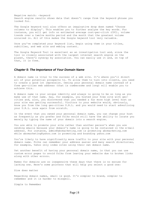Negative match: -keyword Search engine results shows data that doesn't range from the keyword phrase you looked for.

The Google keyword tool also offers an imaginative drop down named 'Choose columns to display'. This enables you to further analyse the key words. For instance, you will get info on estimated average cost-per-click (CPC), volume trends over a twelve months period and the month that the greatest volume occurred in. All of this makes the Google keyword tool very valuable.

Once you've completed your keyword list, begin using them in your titles, subtitles, and web site and weblog content.

The Google Keyword Tool is excellent as an investigation tool and, since the tool is closely associated with the largest internet search engine on the planet, there's synergy by association. You can easily use it and, on top of that, it is free.

#### *Chapter 5: The Importance of Your Domain Name*

A domain name is vital to the success of a web site. It's where you'll direct all of your potential prospects to. To allow them to turn into clients, you need to create a good 1st impression. Owning your personal domain name instead of a free geo-cities web address (that is cumbersome and long) will enable you to achieve this.

A domain name is your unique identity and always is going to be so long as you make use of that name. Say, for example, you hosted your free site with geocities and, also, you discovered that you needed a far more high level host as your site was getting successful. Visitors to your website would, obviously, know you from the long geo-cities U.R.L. and you would need to start advertising your U.R.L. once again from scratch.

In the event that you owned your personal domain name, you can change your host as frequently as you prefer and folks would still have the ability to locate you merely by typing the name of your domain into a search engine.

You are able to promote your site rather than another person's when you are sending emails because your domain's name is going to be contained in the e-mail address. For instance, admin@abcmarketing.com is promoting abcmarketing.com while abcmarketing@yahoo.com is promoting and branding yahoo.com

You're likely to have significantly more traffic to your site with your personal domain name. Folks can remember your address easier and many search directories, for example, Yahoo only index sites using their own domain name.

Yet another benefit of having your personal domain name, is that you can use custom error pages to avoid folks from leaving your website due to broken links along with other errors.

Names for domains are so inexpensive these days that there is no excuse for lacking one. Here's some pointers that will help you select a good one:

Size does matter

Regarding domain names, small is good. It's simpler to brand, simpler to remember and it is harder to misspell.

Simple to Remember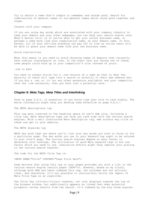Try to obtain a name that's simple to remember and sounds good. Search for combinations of general names or non-general names which sound good together and rhyme.

Connect with your company

If you are using key words which are associated with your company industry to name your domain and your other webpages, you can help your search engine rank. What's better still is if you're able to get your actual business name, or perhaps a name much like your organization name, as your domain name. In this manner, all of your off-line branding can pay off on line as online users will be able to guess your domain name from your own business name.

Avoid similarities

What this means is you need to avoid choosing names of domains that currently have similar counterparts on line. In the event that you choose one of these, some people could wind up in your competitor's site instead of yours.

.com is best

You need to always strive for a .com version of a name as that is what the majority of users will type into a search or directly in their web address bar. If you buy a .net or .tv (or any other extension available) and your competitor owns the .com extension, then you have lost a potential sale.

#### *Chapter 6: Meta Tags, Meta Titles and Interlinking*

Good on page S.E.O. is essential if you would like your site to rank highly. The below information might help you develop some effective on page S.E.O.:

The META descriptions tag

This tag gets inserted to the headline space of one's web site, following a title tag. Meta description tags can help you rank high with the various search engines. With a well constructed Meta description tag, web surfers may click on these and get to your website.

The META keywords tag

META key word tags are where you'll list your key words you wish to focus on for a particular page. The key words you use in your keyword tag ought to be related to your site's page. The various search engines depend on many facets to determine site rankings. The utilization of good Meta keyword tags is but one factor which you need to use. Cumulative efforts might help improve your placing in the various search engines.

The code for the META Title Tag is:

<META NAME="Title" CONTENT="Page Title Here">

Some believe that using this tag in your pages provides you with a lift in the various search engine results pages (SERP's). However, based on my trials, although both MSN and Yahoo indexed this tag, the outcomes are not entirely clear. And therefore, it's not possible to conclusively verify the impact of Meta Title Tags on an algorithm.

The Title Tag (<title></title>) however, not just displays towards the top of the browser window, but additionally appears as linked text when potential prospects review results from the search. It's indexed by the big three engines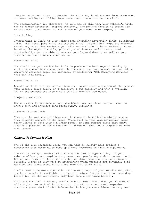(Google, Yahoo and Bing). To Google, the Title Tag is of average importance when it comes to SEO, but of high importance regarding obtaining the click.

The recommendation is, therefore, to make use of this tag. Your website's title has to garner attention, inspire curiosity, and provoke emotion to obtain its clicks. Don't just resort to making use of your website or company's name.

#### Interlinking

Interlinking is links to your other pages including navigation links, breadcrumb links, individual page links and subject links. Interlinking helps the internet search engine spiders navigate your site and evaluate it in an authentic manner, based on the keywords and key phrases you utilize as anchor texts. Used strategically, you are able to enhance your keyword density as well as your rankings in the various search engines.

Navigation links

You should use your navigation links to produce the best keyword density by utilizing appropriate anchor text. In the event that you connect to your online designing services page, for instance, by utilizing: 'Web Designing Services' this can work nicely.

Breadcrumb links

Breadcrumb links are navigation links that appear towards the top of the page as your visitor first clicks in a category, a sub-category and then a hyperlink. All of the expressions used should contain relevant key words.

Subject area links

Content sites having info on varied subjects may use those subject names as anchor text and increase link-based S.E.O. relevance.

Individual page links

They are the most crucial links when it comes to interlinking simply because they directly connect to the pages. These will be your main navigation pages being linked to from your own inner pages, or some support pages that don't require a position in the navigation's scheme but give small snippets of info when needed.

#### *Chapter 7: Content Is King*

One of the more essential steps you can take to greatly help produce a successful site would be to develop a site providing an amazing experience.

The net is really a medium built around the idea of hyperlinking. If your website offers great complimentary resources, people may wish to connect to it. Better yet, they are the kinds of websites which have the very best links to provide. Google is very good at determining which websites are genuinely good quality, and value those links a lot more than other links.

You'll need to become a specialist on the main topic of your website and, also, you have to make it available in a certain unique fashion that's not been done before (or, at the very least, only been done a few times before).

After you have the expertise, you'll need to select how & when you'll show it off and just how much of it to exhibit. For all internet based companies, sharing a great deal of rich information is how you can achieve the very best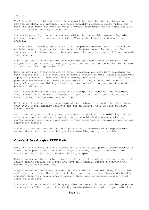results.

You'll need to provide your data in a compelling way, but be cautious about the way you do that. For instance, you could possibly produce a great video, but your audience might not wish to watch a video. They might rather print articles and read them while they ride on the train.

You could possibly create the neatest widget in the world, however they might not wish to put this content on a site. They might like to read something instead.

Irrespective of medium, make those first couple of seconds count. In a written article, make sure you garner the reader's interest over the very 1st few sentences. With videos, obtain interest over the very 1st ten to fifteen seconds (and so on).

Should you not have yet established your (or your company's) expertise, I'd suggest that you earnestly push your great content out to the world. You'll need to construct that reputation first.

But, do not push everything out to other websites. You must have something on your website too. It's a good idea to have a portion of your website packed with top quality content. This way, when somebody sees your great article that you published elsewhere then comes to your website, they wind up seeing more of it. Now you've got a possibility of getting them hooked in to your website (and business) directly.

With websites which are just starting to attempt web promotion, we recommend they develop 20 to 30 bits of content to begin with, and place half on their site, and half on the website's of others.

Utilize well written articles optimized with relevant keywords that have fewer than 10000 Google monthly searches and add an article to your site at least every 2 weeks.

With time, as your profile grows, you are able to alter this weighting. Perhaps only twenty percent of one's content could be published somewhere else and eighty percent could go on your site. Intend on adjusting the mix as your online reputation matures.

Content is really a weapon on line. Utilizing it shrewdly will help you win market share. Just be sure that you have something worthy to provide.

# *Chapter 8: Use Google's FREE Tools*

Many who have a site on the internet don't have it set-up with Google Webmaster Tools. Such people don't know what they're missing. Every thing comes free of charge and establishing an account is very simple.

Google Webmaster Tools help to improve the visibility of an internet site in the search engine results of Google and give an extensive report concerning the visibility of one's webpages.

Google Webmaster Tools may be used to take a look at how well Google can crawl and index your site. These tools will help you discover new links and classify and down load very comprehensive details about various internal and external links to your site.

You are able to raise a traffic query view to see which search queries generate increased traffic to your site. Having Google Webmaster tools in your web site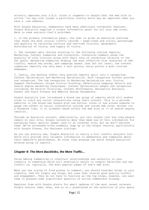actually improves your S.E.O. since it suggests to Google that the web site is active. You may also target a particular country which may be important when you have a .com address.

With Google Analytics, webmasters have many additional convenient features. Google Analytics supplies a single information panel for all your web sites. Here is some analysis that's provided:

1. In the primary information panel, the user is given an executive overview that shows the most crucial traffic records - page-views and visits, percentage and quantity of returning visitors and one-time visitors, geographic distribution of visits, and supply of visits.

2. The consumer gets choices relating to the following concise reports: Marketing, Content summaries and Conversion. Conversion summary shows the quantity of site visitors along with their rate of conversion relative to the set goals. Marketing summaries display the most effective five resources of web traffic, search key words, and campaign based. Last but not least, the content summaries identify the very best 5 exit points, entry points & most visited webpages.

3. Lastly, the machine offers very precise reports split into 2 categories: Content Optimization and Marketing Optimization. Both categories further provide sub categories. The Sub categories in Marketing Optimization are: Visitor Segment Performance, Unique Visitor Tracking, Advertising Campaign Details and Search engine marketing techniques. Content Optimization adopts sub categories including: Ad Version Trialling, Content Performance, Navigation Analysis, Funnel and Goals Process and Website Design Parameters.

Google Analytics just introduced a brand new group of reports which will enable sites to track any social interactions using their content. This is a welcome addition to the brand new Google plus one button, since it now allows someone to gauge the effect of social interaction outside and inside web sites (either via a Facebook like, +1 or LinkedIn share within the web site or +1 on search engine results).

Through an Analytics account, additionally, you tell Google just how long people remain on your site. Google currently deny they make use of this information for assigning their quality (page) rank to an internet site, but we don't believe them. We've witnessed sites suddenly leap up in the Google results, particularly with Google Places, for Business Listings.

As you can plainly see, Google Analytics is really a full traffic analysis tool which will provide very valuable information to webmasters and companies about their website's performance. No other free program can match Google Analytics' diverse group of reports.

# *Chapter 9: The More Backlinks, the More Traffic...*

Using weblog commenting to construct relationships and authority in your industry is something which will eventually result in organic backlinks and new traffic to, typically, the most popular pages of one's web site.

When you are trying to find places to comment, you should consider blogs in your industry. And not simply any blogs, but ones that receive good quality traffic and engagement. They do not have to function as the top blogs, however, you want them to possess some significant quantity of active commenters already.

Register free with Google alerts for email updates of the most recent relevant Google results (web, news, and so on.) predicated on the selection of your query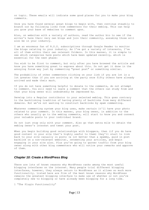or topic. These emails will indicate some good places for you to make your blog comments.

Once you have found several great blogs to begin with, then continue steadily to branch out by following links from commenters for their weblog. This can help you grow your base of websites to comment upon.

Also, on websites with a variety of authors, read the author bio to see if the writer's have their very own blogs and join their community, assuming those will also be in your industry.

I am an enormous fan of R.S.S. subscriptions through Google Reader to monitor the blogs relating to your industry. As I've got a variety of interests, I've all of them within their own relevant folders. In this manner, it is simple to see which categories have posts which have been updated recently, which is essential for the next phase:

You wish to be first to comment, but only after you have browsed the article and know you have something great to express about this. Do not get it done in the annoying forum way just by commenting "great post" or something similar.

The probability of other commenters clicking on your link if you are 1st is a lot greater than if you are arriving at the party once fifty others have already arrived and made their mark.

If you do not have something helpful to donate to the comments, do not attempt to comment. You will need to leave a comment that the others can study from and that your blog owner will undoubtedly be impressed by.

Develop into a Regular contributor to your selected weblog. This goes contrary to the backlinking tradition of having plenty of backlinks from many different domains. But we're not wanting to construct backlinks by spam commenting.

Whatever commenting system your blog uses, make certain it'll have your photo related to your comment. In this manner, your blog owner, in addition to the others who usually go to the weblog comments, will start to know you and connect your valuable posts to your individual brand.

Do not just stop only with your comment. Also go that extra mile to obtain the weblog owner's interest and tweet your post.

When you begin building good relationships with bloggers, then (if you do have good content in your site that's highly useful to them) they'll start to link back to your site casually in posts (a lot better than a spammy, paid in post backlink on a non-relevant website), retweeting your articles, and begin engaging in your site also. Plus you're going to garner traffic from your blog owner along with other blog commenters who will notice your remarks and approve of them.

# *Chapter 10: Create a WordPress Blog*

There are lots of known reasons why WordPress ranks among the most useful blogging interfaces on the internet. Many people trial different blogging interfaces, however, they always return to WordPress as it allows so much more functionality. Listed here are five of the best known reasons why WordPress remains the greatest blogging interface to make use of whether or not you're completely new to blogging or have already been blogging for a long time.

1 "The Plugin Functionality"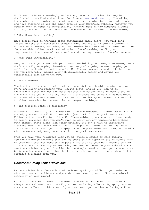WordPress includes a seemingly endless way to obtain plugins that may be downloaded, installed and utilized for free at [www.wordpress.org.](http://wordpress.org/) Installing these plugins is simple, and requires uploading the plug in to your site space and just starting it via the admin area of your WordPress website. Whatever you require when it comes to functionality, there's most likely numerous plugins that may be downloaded and installed to enhance the features of one's weblog.

#### 2 "The Theme Functionality"

Most people will be thinking about customizing their blogs. You will find literally tens of thousands of unique themes available, allowing 1 column, 2 columns or 3 columns, graphics, colour combinations along with a number of other features which allow total customization of one's weblog to fit your requirements, the theme of one's weblog and the requirements of one's readers.

#### 3 "Auto Ping Functionality"

Many scripts might allow this particular possibility, but many free weblog hosts don't actually auto ping themselves, and so you're going to need to ping your self after each single post you make. WordPress, however, can do all the pings for you personally, making your job dramatically easier and saving you considerable time along the way.

#### 4 "The Trackback"

The trackback feature is definitely an essential one should you wish to know who's answering and reading your website posts, and if you wish to be transparent about who you are reading about and referring to in your site. In the event that you link to any post in a different weblog utilizing WordPress, WordPress will make a comment in the post automatically which was related to it to allow communication between the two respective blogs.

#### 5 "The complete sense of simplicity"

WordPress is certainly an acutely simple to use blogging platform. By utilizing cpanel, you can install WordPress with just 1 click in many circumstances. Following the installation of the WordPress weblog, you are more or less ready to begin, provided that you don't wish to carry out any tampering beforehand with themes, stats along with other details. You don't have to understand anything more about computers to be able to put up a WordPress weblog. When it's installed and all set, you can simply log on to your WordPress panel, which will also be excessively easy to work with in many circumstances.

Once you have your Wordpress Blog set up, write a couple of good quality, keyword optimized articles that are relevant to the topic of the favourite page of your main business website and post links back to your main website on them. This will ensure that anyone searching for related terms to your main site will see the articles on your blog high in the Google results, read your content, and be interested enough to follow the links back to your main site to (hopefully) purchase something from you.

# *Chapter 11: Using EzineArticles.com*

Ezine articles is a fantastic tool to boost quality traffic to your website, give your search rankings a nudge and, also, cement your profile as a global authority on your niche!

Being able to submit powerful articles onto sites like Ezine Articles will always be a welcomed boost to all your web marketing efforts. By applying some consistent effort to this area of your business, your online marketing will go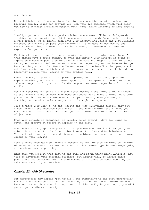much further.

Ezine Articles can also sometimes function as a practice website to hone your blogging skills. Ezine can provide you with your 1st audience which will teach you how to generate inspiring content with words. Ezine Articles is also free to join.

Ideally, you want to write a good article, once a week, filled with keywords relating to your website but still sounds natural to read. Once you have written a good article, go to Ezine, sign into your account and select the most suitable category on the site to post your article in. It is good if you can select several categories, if more than one is relevant, to ensure more targeted exposure for your work.

Fill in all the relevant fields to submit your article, including a 'Teaser' that should give a brief summary of what information your article is going to impart to encourage people to click on it and read it. Keep this part brief but catchy (no more than 2-3 sentences) and do not repeat any of the information you have put in your article. Use the Teaser to extol the benefits that people will get from reading your article and try to speak to the reader directly but do not blatantly promote your website or your product here.

Break the body of your article up with spacing so that the paragraphs are separated nicely and easier to read. Type in, at the space at the bottom, the relevant keywords for your article (Ezine provides some suggestions for this as well).

Use the Resource Box to talk a little about yourself and, crucially, link back to the popular pages on your main website according to Ezine's rules. Make sure you do not include an abundance of links, particularly when you are just starting on the site, otherwise your article might be rejected.

Just connect your link(s) to one website and keep everything simple, only put these links in the Resource Box and not in the main article itself. Once you have posted 10 articles to the site, you are allowed to submit two links instead of just one.

Once your article is submitted, it usually takes around 7 days for Ezine to review and approve it before it appears on the site.

When Ezine finally approves your article, you can now re-write it slightly and submit it to other Article Directories like Go Articles and ArticlesBase etc. This will give your writing and links an even bigger audience resulting in more clicks to your website.

Google loves good quality, relevant content so well written articles on Article Directories related to the search terms that its' users type in are always going to be given ranking priority.

Make sure you exploit this fact to the full and begin using Ezine Articles, not just to advertise your personal business, but additionally to assist those people who are searching for a little nugget of information about how they can take advantage of your services.

# *Chapter 12: Web Directories*

Web directories may appear 'pre-Google', but submitting to the best directories has got the advantage that the audience they attract includes individuals who have an interest in a specific topic and, if this really is your topic, you will get to your audience directly.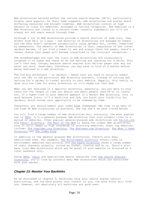Web directories existed before the various search engines (SE's), particularly Google, were popular. As their name suggests, web directories are places where differing resources are brought together. Web directories consist of huge amounts of links for websites, arranged in various categories. The websites in a Web directory are listed in a certain order (usually alphabetic but it's not always so) and users search through them.

Although a lot of Web directories provide a search function of some sort, they differ from SE's in 2 ways - the majority of directories are managed by humans and the URLs aren't gathered automatically using spiders but, rather, submitted by webmasters. The benefit of Web directories is that, regardless of how clever spiders become, if you find a human to see and always check the pages, there's a lesser chance that pages will become classified in the incorrect categories.

The disadvantages are that the lists in web directories are occasionally outdated if no human was there to do the editing and checking for a while. This isn't that bad, though, because search engines also deliver pages that may not exist any more. Sometimes, therefore, you may have to hold on 6 months before being featured in a web directory.

The 2nd big difference - no spiders - means that you need to actually submit your own URL to the particular web directory yourself, instead of sitting and waiting for a spider to travel quickly to your website. Happily, this really is done only one time for every directory, so it's maybe not that bad.

When you get featured in a specific directory, generally, you are able to stay there for the length of time you desire and await people (and SE's) to locate you. If a hyper-link to your website appears in a decent Web directory, this is good because first, it's a back-link and 2nd, you boost your visibility for spiders, which raises your opportunity to be indexed by them.

Therefore, you should submit your index page (homepage) URL free to as many of the high PR Web Directories as possible. The top one's we have listed below:

You will find a large number of web directories but, certainly, the most popular one is [DMOZ.](http://www.dmoz.org/) It's a general purpose web directory that also accepts links to a myriad of websites. Other popular general-purpose web directories are [Ezilon.com](http://www.ezilon.com/?gclid=CPDy5sa1x6sCFS4NtAodiTAS2Q) and [Yahoo! Directory.](http://dir.yahoo.com/) [The Best of the Web](http://botw.org/) is among the oldest Web directories, also it still keeps to high standards in selecting websites. Other top websites include: [The Goguides.org Directory,](http://www.goguides.org/) [The Business.com Directory,](https://secure.business.com/crm/signup/Promo.do?promo=ADIFIF) [The What U Seek](http://www.whatuseek.com/)  [Directory](http://www.whatuseek.com/) and [The Index King.](http://indexking.net/)

In addition to the general purpose Web directories, there's also many specialised ones. For example, [The Environment Directory](http://www.webdirectory.com/) offers links to environment websites exclusively, and [The Radio Directory](http://www.radio-directory.com/) shows a large number of radio channels globally, sorted by format, country and so on. There's also many local Web directories which may be great if your website is directed at a local audience only.

Using [DMOZ,](http://www.dmoz.org/) [Yahoo](http://dir.yahoo.com/) and specialized search resources like [The Search Engines](http://www.searchengineguide.com/searchengines.html)  [Directory,](http://www.searchengineguide.com/searchengines.html) you'll find by yourself many Web directories which are associated with your market.

# *Chapter 13: Monitor Your Backlinks*

As we discussed in chapter 9, backlinks help your search engine results positioning, and the more places that connect to you, the more folks will find you. However, not absolutely all backlinks are good ones.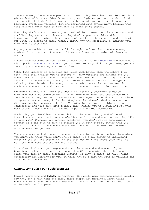There are many places where people can trade or buy backlinks, and lots of those places just offer spam. Link farms are types of places you don't wish to find your website listed. Link farms, and similar websites, don't really provide backlinks which are valuable, but inexperienced site owners might believe that just having a great deal of backlinks is going to be enough.

When they don't start to see a great deal of improvements on the site stats and traffic, they get upset – however, they don't appreciate this and hurt themselves by developing a large amount of backlinks that aren't good for their web sites or geared to their niches. That's why the capability to monitor your backlinks is essential.

Anybody who decides to monitor backlinks ought to know that there are many choices for doing that. A number of them are free, and a number of them cost money.

A good free resource to keep track of your backlinks is [SEOCentro](http://www.seocentro.com/tools/search-engines/link-popularity.html) and you should sign up with [Stat-counter.com](http://statcounter.com/) so you can see how many visitors your webpages are receiving and where they are coming from.

Yahoo Site Explorer is also free and works much better than the others I've seen. This tool enables you to observe how many websites are linking for you, who's linking for you and what they have been linking to. Something that Yahoo Site Explorer doesn't do, though, is take data points and track the hyperlink velocity. Keep in mind that every thing is relative as the various search engines are comparing and ranking for relevance on a keyword-for-keyword basis.

Broadly speaking, the larger the amount of naturally occurring targeted backlinks you have combined with high calibre backlinks, the better you will rank in search engines for targeted terms. We suggest Yahoo Site Explorer since it appears to count many links that Google either doesn't desire to count or divulge. We also recommend the Link Velocity Tool as you are able to track competitors and just take data points. This enables you to return and see what your backlink count was at a particular point and time previously.

Monitoring your backlinks is essential. In the event that you don't monitor them, how are you going to know who's linking for you and what content they like in your site? Whenever you monitor backlinks, you don't get it done simply because it's the move to make or because you've been told by others that you ought to. You get it done because you wish to use that information to create more success for yourself.

There are many methods to gain success on the web, but ignoring backlinks since you don't see their value isn't one of these. It's far better to understand whatever you can and obtain all of the data you will get about your site, to help you make good choices for its' future.

It's also vital that you comprehend that the standard and number of your backlinks really are a deciding factor when SE's determine where they should place your page in their searching results. If many of those who have online credibility are linking for you, it tells the SE's that the site is valuable and it'll be ranked higher.

# *Chapter 14: Build Your Social Network*

Social networking and S.E.O. go together. But still many business people usually say they don't have time for this. These people are missing a large trick because social networks undoubtedly have a substantial effect on ranking higher on Google's results pages.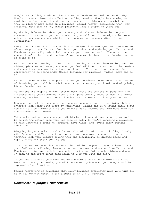Google has publicly admitted that shares on Facebook and Twitter (and today Google+) have an immediate effect on ranking results. Google is changing and evolving as fast as our trends and tastes are - in this present social age they're placing more focus on a business' social network activities than, for instance, meta tags or key phrase placement like a couple of years ago.

By sharing information about your company and relevant information to your consumers / investors, you're introducing yourself to, ultimately, a lot more potential consumers who would have had no previous understanding of your organization.

Among the fundamentals of S.E.O. is that Google likes webpages that are updated often, so posting a Twitter feed in to your site, and updating your Twitter and Facebook pages daily, might help enhance your ranking result. The more other users 'like', 'share' and 're-tweet' your posts, the larger your Google ranking is going to be.

Be creative when posting. In addition to posting links and information, also add videos, pictures and so on, whatever you feel will be interesting to the readers and cause them to comment, re-tweet or like it. This can also increase the opportunity to be found under Google listings for pictures, videos, news and so on.

Allow it to be as simple as possible for your business to be found. Just the act of involving your self in social networking increases your likelihood of gaining higher Google rankings.

To achieve and keep followers, ensure your posts and content is pertinent and interesting to your audience. Google will particularly focus on you if a person who they consider to be an authoritative user retweets or likes your content.

Remember not only to turn out your personal posts to achieve publicity, but to interact with other site users by commenting, liking and re-tweeting their posts too - this also indicates that you're wanting to provide the very best info for the readers and followers.

Yet another method to encourage individuals to like and tweet about you, would be to put the option upon your web site it self. If you're managing a promotion or have launched a brand new product, have 'Like' and 'Tweet this' buttons alongside it.

Blogging is yet another invaluable social tool. In addition to linking closely with Facebook and Twitter, it may permit you to communicate more closely together with your readers giving them the possibility to discuss posts and supply links for their own weblogs.

This creates new potential contacts, in addition to providing more info to all your followers, allowing them more content to tweet and share. Like Twitter and Facebook, it is important to update this daily and follow other blogs and post on them to encourage links back again to your web site and blog.

If you add a page to your Blog weekly and submit an Ezine article that links back to it every two weeks, you will be amazed by how much your Google rank has improved after 6 months.

Social networking is something that every business proprietor must make time for as it is, without doubt, a big element of an S.E.O. strategy.

# *Chapter 15: Re-purpose Your Articles*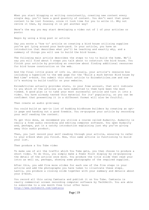When you start blogging or writing consistently, creating new content every single day, you'll have a good quantity of content. You don't want that great content to be lost forever, since it took time for you to write it. Why not revive it then, by reusing it in yet another way?

Here's the way you may start developing a video out of 1 of your articles or posts:

Begin by using a blog post or article

Say you wrote a 'how to' article on creating a bird house utilizing supplies you've got lying around your back-yard. In your article, you have an introduction that describes what you'll be teaching and exactly why, and a summary of things you will use to build the bird house.

The following main article describes the steps to try to build the home. We'll say you will find about 5 steps you talk about to construct the bird house. You finish your article by providing an overview about finding additional resources for bird house construction on the web.

And the final little piece of info is, obviously, your article's resource box including a hyperlink to the web page for the 'Build a much better Bird house by Bed time' e-book. You submit this short article to EzineArticles.com and now it's working to build traffic on your website.

EzineArticles actually provides stats, in your free account, that will indicate to you which of the articles you have submitted to them have been the most viewed. A good plan is to take your most successful article and turn it into a video. You have already tested this material for its' popularity, so you can be confident that presenting it in a different format will also be fruitful.

Then create an audio give-away

You could build an opt-in list of budding birdhouse builders by creating an optin page and handing out a good freebie. You re-purpose your article by recording your self reading the content.

To get this done, we recommend you utilize a course called Audacity. Audacity is really a free audio recording and editing computer software. You open Audacity and, perhaps, put in a catchy introduction explaining just why you're giving away this audio product.

Then, you just record your self reading through your article, ensuring to refer to your e-book when you finish. Now, this same article is functioning to build your list.

Then produce a You Tube video

To make use of all the traffic which You Tube gets, you then choose to produce a short video. To do this, you simply make a Power Point display by re-purposing the detail of the article once more. You produce the title slide then read your intro as well as, perhaps, showing some photographs of the required supplies.

After this, you add five more slides for each one of the five steps in your article and add the photographs you have taken to illustrate these steps. Lastly, you produce a closing slide together with your summary and details about your e-book.

You record all this using Camtasia and publish it on You Tube. Camtasia is really commercial screen recording computer software by TechSmith. You are able to subscribe to a one month free trial offer here: <http://www.techsmith.com/camtasia>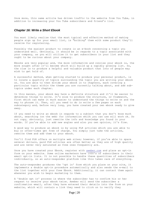Once more, this same article has driven traffic to the website from You Tube, in addition to increasing your You Tube subscribers and friend's list.

## *Chapter 16: Write a Short Ebook*

You most likely realize that the most typical and effective method of making people sign up for your email list, is "bribing" them with some product they'll receive for registering.

Possibly the easiest product to create is an e-book concerning a topic you understand well. Obviously, it should be in regards to a topic associated with your company, as you will utilize it to get subscribers in your list and they ought to be curious about your company.

Ebooks are very popular and, the more informative and concise your ebook is, the more sought after it'll become which will build up a rapidly growing list. So, the clue is to produce a helpful and valuable product that lots of people may wish to get hold of.

A successful method, when getting started to produce your personal product, is to locate a quantity of topics surrounding the topic you are writing your ebook on. You are able to then divide your ebook in to chapters, each covering a particular topic within the theme you are currently talking about, and add subtopics under each chapter.

In this manner, your ebook may have a definite structure and it'll be easier to determine things to write. It's wise to produce the structure, or framework, first which can make it much easier to understand the things to write on and the way to phrase it. Then, all you need to do is write a few pages on each subcategory and, before very long, you have created your own ebook ready to give away.

If you need to write an ebook in regards to a subject that you don't know much about, searching (on the web) for information which you can use will work ok. Do not copy, obviously, just rewrite the info and knowledge you found in your words. If you're able to add new angles and also you own opinion, it's fine.

A good way to produce an ebook is by using PLR articles which you are able to buy or often-times get free of charge. You simply just take the articles, rewrite them and add them to your ebook.

You'll find PLR offers on multiple web sites; however, if you're able to spare several dollars, paid PLR articles are often better as they are of high quality and are never very saturated as free ones frequently are.

Once you have created your Ebook, register with [aweber.com](http://www.aweber.com/pricing.htm?gclid=CM6Hk6nByKsCFcIKfAodCgMz1A) and place an opt-in form on your website. Some online marketers have 1000's of subscribers in their email opt-in lists. It is not possible to handle these quantities of subscribers individually, so an auto-responder platform like this takes care of everything.

The auto-responder produces the 'opt in' form which you place on your site, it implements a double opt-in procedure automatically and also sends the e-mail to the list together with your free Ebook. Additionally, it can contact them again whenever you wish to begin marketing to them.

A 'double opt in' process is where the subscriber has to confirm his or her request to receive your ebook twice. Aweber will send the subscriber a confirmation email, after they have entered their details into the form on your website, which will contain a link they need to click on to verify they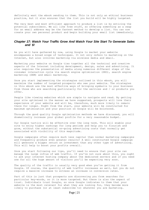definitely want the ebook sending to them. This is not only an ethical business practice, but it also ensures that the list you build will be highly targeted.

The very best and most efficient approach to produce a list is by enticing the potential subscribers. We all like free stuff, so offering something as a swap for an email address may be the fastest method to develop a list. You can now create your own personal product and begin building your email list immediately.

# *Chapter 17: Watch Your Traffic Grow And Watch Your Site Start To Generate Sales and \$!*

As you will have gathered by now, using Google to market your website encompasses a broad scope of techniques. It not only refers to marketing on the Internet, but also involves marketing via wireless media and email.

Marketing your website on Google ties together all the technical and creative aspects of the Internet including development, design, sales and advertising. It also requires the presentation of media along numerous different steps of the consumer interaction cycle via search engine optimization (SEO), search engine marketing (SEM) and email marketing.

Once you start implementing the strategies outlined in this ebook, you will maximize the number of targeted prospects who see your website. The strategies in this ebook are the most effective ways of bringing eyeballs to your business from those who are searching particularly for the services and / or products you offer.

People like viewing websites which are simple to navigate and read. By getting your site optimised in the manner we have suggested, prospects will love their experience of your website and will be, therefore, much more likely to remain there for longer. Right from the start, your website will be constructed for maximum optimisation and your position on Google will be bolstered.

Through the good quality Google optimization methods we have discussed, you will dramatically increase your global profile for a very reasonable budget.

Our Google tactics will be effective over the long term. This will enable your site to enjoy higher rankings for long periods and help you to flourish and grow, without the substantial on-going advertising costs that normally get associated with visibility of this magnitude.

Google campaigns often require much less capital than normal marketing campaigns and frequently produce even greater results! A well constructed Google campaign will generate a bigger return on investment than any other type of advertising. This will help to boost your profits overall.

Once you start following our tips, you'll need to ensure that your site can manage the large influx of web traffic. If you're not sure about this, you ought to ask your internet hosting company about the dedicated servers and if you need one for all the huge amount of visitors you'll be expecting very soon.

The quality of the traffic is usually very good when you're getting it from Google. Of course, the quantity of web traffic increases as well, but you do not require a massive increase to witness an increase in conversion rates.

Part of this is just that prospects are discovering you from searches for particular key-words, so it is more targeted. But there is also the aspect of trust. Individuals trust Google, so once Google indicates to them that your website is the most relevant for what they are looking for, they become more likely to purchase (or at least subscribe to) whatever you are marketing.